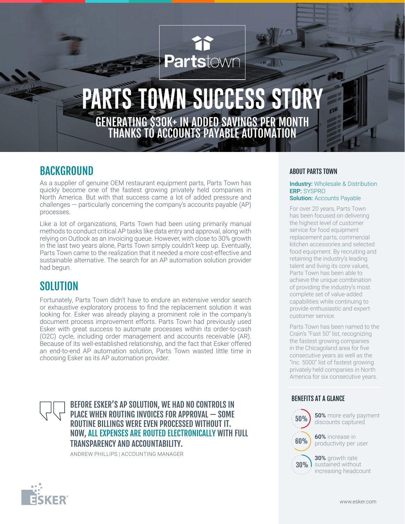# Partstown  $\mathbb{E}[\mathbb{R}]$

## **PARTS TOWN SUCCESS STO** GENERATING \$30K+ IN ADDED SAVINGS PER MONTH THANKS TO ACCOUNTS PAYABLE AUTOMATION

## BACKGROUND

As a supplier of genuine OEM restaurant equipment parts, Parts Town has quickly become one of the fastest growing privately held companies in North America. But with that success came a lot of added pressure and challenges — particularly concerning the company's accounts payable (AP) processes.

Like a lot of organizations, Parts Town had been using primarily manual methods to conduct critical AP tasks like data entry and approval, along with relying on Outlook as an invoicing queue. However, with close to 30% growth in the last two years alone, Parts Town simply couldn't keep up. Eventually, Parts Town came to the realization that it needed a more cost-effective and sustainable alternative. The search for an AP automation solution provider had begun.

## **SOLUTION**

Fortunately, Parts Town didn't have to endure an extensive vendor search or exhaustive exploratory process to find the replacement solution it was looking for. Esker was already playing a prominent role in the company's document process improvement efforts. Parts Town had previously used Esker with great success to automate processes within its order-to-cash (O2C) cycle, including order management and accounts receivable (AR). Because of its well-established relationship, and the fact that Esker offered an end-to-end AP automation solution, Parts Town wasted little time in choosing Esker as its AP automation provider.

#### BEFORE ESKER'S AP SOLUTION, WE HAD NO CONTROLS IN PLACE WHEN ROUTING INVOICES FOR APPROVAL — SOME ROUTINE BILLINGS WERE EVEN PROCESSED WITHOUT IT. NOW, ALL EXPENSES ARE ROUTED ELECTRONICALLY WITH FULL TRANSPARENCY AND ACCOUNTABILITY.

ANDREW PHILLIPS | ACCOUNTING MANAGER

#### ABOUT PARTS TOWN

**Industry:** Wholesale & Distribution ERP: SYSPRO **Solution: Accounts Payable** 

For over 20 years, Parts Town has been focused on delivering the highest level of customer service for food equipment replacement parts, commercial kitchen accessories and selected food equipment. By recruiting and retaining the industry's leading talent and living its core values, Parts Town has been able to achieve the unique combination of providing the industry's most complete set of value-added capabilities while continuing to provide enthusiastic and expert customer service.

Parts Town has been named to the Crain's "Fast 50" list, recognizing the fastest growing companies in the Chicagoland area for five consecutive years as well as the "Inc. 5000" list of fastest growing privately held companies in North America for six consecutive years.

#### BENEFITS AT A GLANCE



**50%** more early payment discounts captured

**60%** increase in productivity per user

**30%** growth rate sustained without increasing headcount